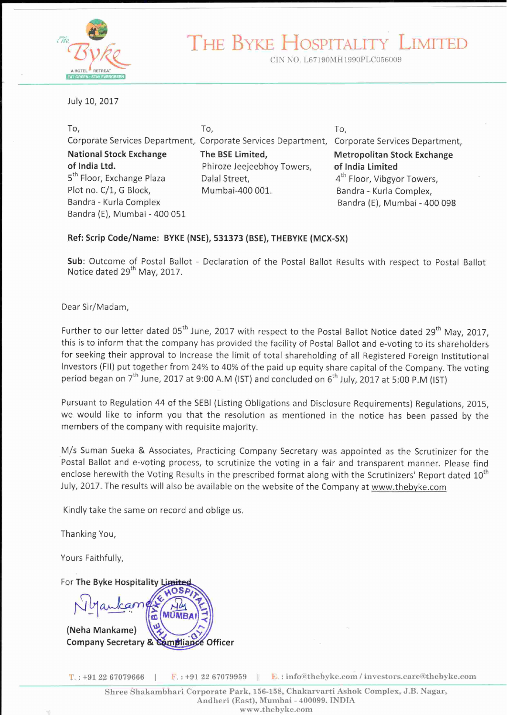

THE BYKE HOSPI **TALIT** 

CIN NO. L67190MH1990PLC056009

July 10, 2017

| To,                                   | To.                                                                                          | To,                                    |
|---------------------------------------|----------------------------------------------------------------------------------------------|----------------------------------------|
|                                       | Corporate Services Department, Corporate Services Department, Corporate Services Department, |                                        |
| <b>National Stock Exchange</b>        | The BSE Limited,                                                                             | <b>Metropolitan Stock Exchange</b>     |
| of India Ltd.                         | Phiroze Jeejeebhoy Towers,                                                                   | of India Limited                       |
| 5 <sup>th</sup> Floor, Exchange Plaza | Dalal Street,                                                                                | 4 <sup>th</sup> Floor, Vibgyor Towers, |
| Plot no. C/1, G Block,                | Mumbai-400 001.                                                                              | Bandra - Kurla Complex,                |
| Bandra - Kurla Complex                |                                                                                              | Bandra (E), Mumbai - 400 098           |
| Bandra (E), Mumbai - 400 051          |                                                                                              |                                        |

#### Ref: Scrip Code/Name: BYKE (NSE), 531373 (BSE), THEBYKE (MCX-SX)

Sub: Outcome of Postal Ballot - Declaration of the Postal Ballot Results with respect to Postal Ballot Notice dated 29<sup>th</sup> May, 2017.

Dear Sir/Madam,

Further to our letter dated 05<sup>th</sup> June, 2017 with respect to the Postal Ballot Notice dated 29<sup>th</sup> May, 2017. this is to inform that the company has provided the facility of Postal Ballot and e-voting to its shareholders for seeking their approval to Increase the limit of total shareholding of all Registered Foreign Institutional Investors (FII) put together from 24% to 40% of the paid up equity share capital of the Company. The voting period began on 7<sup>th</sup> June, 2017 at 9:00 A.M (IST) and concluded on 6<sup>th</sup> July, 2017 at 5:00 P.M (IST)

Pursuant to Regulation 44 of the SEBI (Listing Obligations and Disclosure Requirements) Regulations, 2015, we would like to inform you that the resolution as mentioned in the notice has been passed by the members of the company with requisite majority.

M/s Suman Sueka & Associates, Practicing Company Secretary was appointed as the Scrutinizer for the Postal Ballot and e-voting process, to scrutinize the voting in a fair and transparent manner. Please find enclose herewith the Voting Results in the prescribed format along with the Scrutinizers' Report dated 10th July, 2017. The results will also be available on the website of the Company at www.thebyke.com

Kindly take the same on record and oblige us.

Thanking You,

Yours Faithfully.

For The Byke Hospitality L

(Neha Mankame) Company Secretary & Compliance Officer

 $T: +912267079666$ 

 $\overline{F}$ : +91 22 67079959

E.: info@thebyke.com / investors.care@thebyke.com

- 11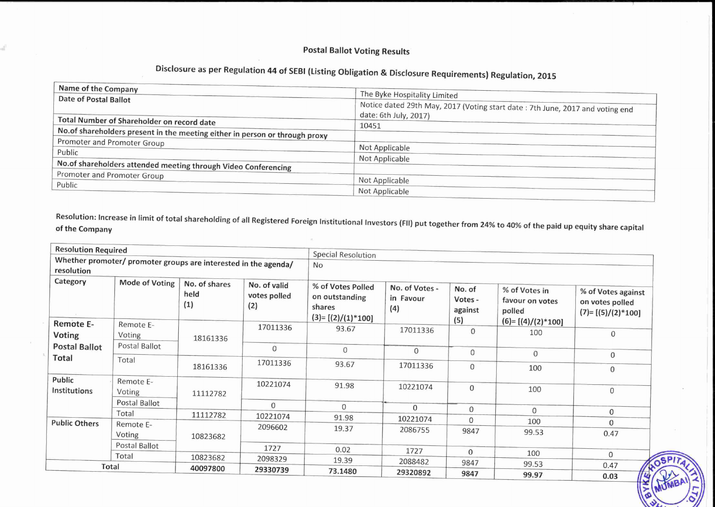# **Postal Ballot Voting Results**

d

# Disclosure as per Regulation 44 of SEBI (Listing Obligation & Disclosure Requirements) Regulation, 2015

| Name of the Company                                                          |                                                                               |
|------------------------------------------------------------------------------|-------------------------------------------------------------------------------|
| <b>Date of Postal Ballot</b>                                                 | The Byke Hospitality Limited                                                  |
|                                                                              | Notice dated 29th May, 2017 (Voting start date: 7th June, 2017 and voting end |
|                                                                              | date: 6th July, 2017)                                                         |
| Total Number of Shareholder on record date                                   | 10451                                                                         |
| No. of shareholders present in the meeting either in person or through proxy |                                                                               |
| Promoter and Promoter Group                                                  |                                                                               |
| Public                                                                       | Not Applicable                                                                |
|                                                                              | Not Applicable                                                                |
| No.of shareholders attended meeting through Video Conferencing               |                                                                               |
| Promoter and Promoter Group                                                  |                                                                               |
| Public                                                                       | Not Applicable                                                                |
|                                                                              | Not Applicable                                                                |

Resolution: Increase in limit of total shareholding of all Registered Foreign Institutional Investors (FII) put together from 24% to 40% of the paid up equity share capital of the Company

| <b>Resolution Required</b>                                                    |                     |                              |                                     | <b>Special Resolution</b>                                            |                                    |                                     |                                                                   |                                                              |
|-------------------------------------------------------------------------------|---------------------|------------------------------|-------------------------------------|----------------------------------------------------------------------|------------------------------------|-------------------------------------|-------------------------------------------------------------------|--------------------------------------------------------------|
| Whether promoter/ promoter groups are interested in the agenda/<br>resolution |                     |                              | No                                  |                                                                      |                                    |                                     |                                                                   |                                                              |
| Category                                                                      | Mode of Voting      | No. of shares<br>held<br>(1) | No. of valid<br>votes polled<br>(2) | % of Votes Polled<br>on outstanding<br>shares<br>$(3)=[(2)/(1)*100]$ | No. of Votes -<br>in Favour<br>(4) | No. of<br>Votes -<br>against<br>(5) | % of Votes in<br>favour on votes<br>polled<br>$(6)=[(4)/(2)*100]$ | % of Votes against<br>on votes polled<br>$(7)=[(5)/(2)*100]$ |
| Remote E-<br>Voting                                                           | Remote E-<br>Voting | 18161336                     | 17011336                            | 93.67                                                                | 17011336                           | $\Omega$                            | 100                                                               | $\mathbf{0}$                                                 |
| <b>Postal Ballot</b>                                                          | Postal Ballot       |                              | 0                                   | $\mathbf 0$                                                          | $\mathbf{0}$                       | $\Omega$                            | $\mathbf{O}$                                                      | $\overline{0}$                                               |
| Total                                                                         | Total               | 18161336                     | 17011336                            | 93.67                                                                | 17011336                           | $\overline{0}$                      | 100                                                               | $\overline{0}$                                               |
| Public<br>Institutions                                                        | Remote E-<br>Voting | 11112782                     | 10221074                            | 91.98                                                                | 10221074                           | 0                                   | 100                                                               | 0                                                            |
|                                                                               | Postal Ballot       |                              | $\mathbf{0}$                        | $\Omega$                                                             | 0                                  | $\mathbf{0}$                        | $\Omega$                                                          |                                                              |
| <b>Public Others</b>                                                          | Total               | 11112782                     | 10221074                            | 91.98                                                                | 10221074                           | $\Omega$                            | 100                                                               | $\mathbf 0$<br>$\Omega$                                      |
|                                                                               | Remote E-<br>Voting | 10823682                     | 2096602                             | 19.37                                                                | 2086755                            | 9847                                | 99.53                                                             | 0.47                                                         |
|                                                                               | Postal Ballot       |                              | 1727                                | 0.02                                                                 | 1727                               | $\mathbf{0}$                        | 100                                                               |                                                              |
|                                                                               | Total               | 10823682                     | 2098329                             | 19.39                                                                | 2088482                            | 9847                                | 99.53                                                             | $\Omega$<br>0.47                                             |
|                                                                               | Total               | 40097800                     | 29330739                            | 73.1480                                                              | 29320892                           | 9847                                | 99.97                                                             | $\frac{1}{2}$<br>0.03                                        |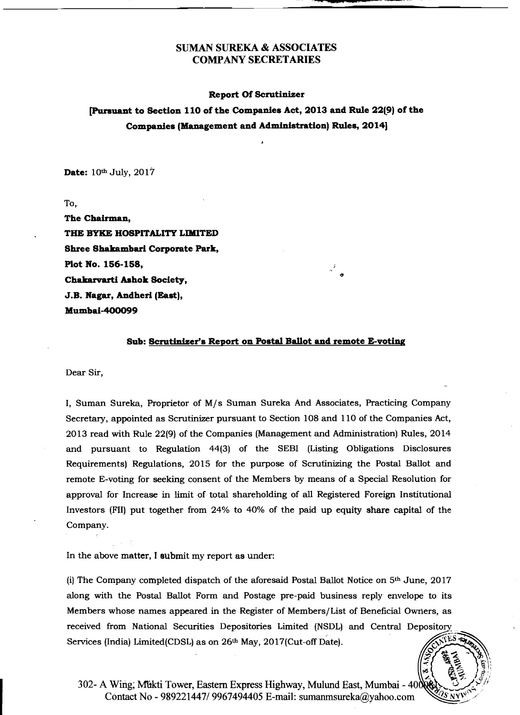#### Report Of Scrutinizer

[Pursuant to Section 110 of the Companies Act, 2013 and Rule 22(9) of the Companies (Management and Administration) Rules, 2014]

Date:  $10<sup>th</sup>$  July,  $2017$ 

To,

The Chairman, THE BYKE HOSPITALITY LIMITED Shree Shakambari Corporate Park, Plot No. 156-158, Chakarvarti Ashok Society, J.B. Nagar, Andheri (East), Mumbai-400099

#### Sub: Scrutinizer's Report on Postal Ballot and remote E-voting

Dear Sir,

I, Suman Sureka, Proprietor of M/s Suman Sureka And Associates, Practicing Company Secretary, appointed as Scrutinizer pursuant to Section 108 and 110 of the Companies Act, 2013 read with Rule 22(9) of the Companies (Management and Administration) Rules, 2014 and pursuant to Regulation 44(3) of the SEBI (Listing Obligations Disclosures Requirements) Regulations, 2015 for the purpose of Scrutinizing the Postal Ballot and remote E-voting for seeking consent of the Members by means of a Special Resolution for approval for Increase in limit of total shareholding of all Registered Foreign Institutional Investors (FII) put together from 24% to 40% of the paid up equity share capital of the Company.

In the above matter, I submit my report as under:

(i) The Company completed dispatch of the aforesaid Postal Ballot Notice on  $5<sup>th</sup>$  June, 2017 along with the Postal Ballot Form and Postage pre-paid business reply envelope to its Members whose names appeared in the Register of Members/List of Beneficial Owrters, as received from National Securities Depositories Limited (NSDL) and Central Depository Services (India) Limited(CDSL) as on  $26<sup>th</sup>$  May,  $2017$ (Cut-off Date).



302- A Wing; Mukti Tower, Eastern Express Highway, Mulund East, Mumbai - 400 Contact No - 989221447/9967494405 E-mail: sumanmsureka@yahoo.com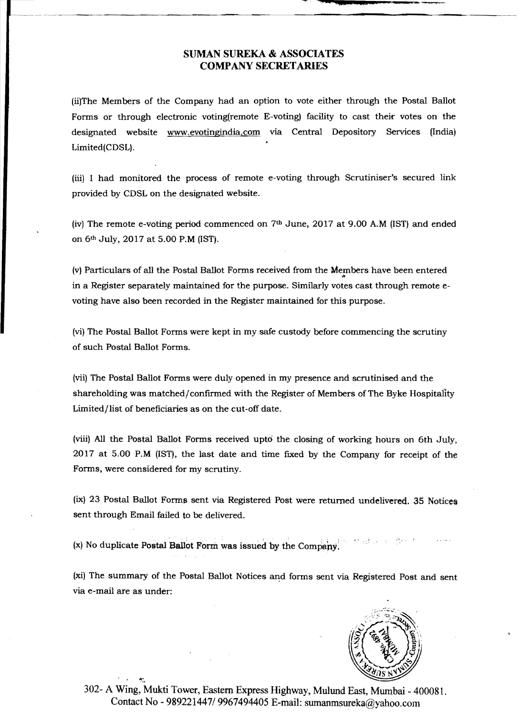-."--.,---------------~--

**"'!,......., .,....s.;;!1!!11111--\_....\_-**

(ii)The Members of the Company had an option to vote either through the Postal Ballot Forms or through electronic voting(remote E-voting) facility to cast their votes on the designated website www.evotingindia.com via Central Depository Services (India) Limited(CDSL).

(iii) I had monitored the process of remote e-voting through Scrutiniser's secured link provided by CDSL on the designated website.

(iv) The remote e-voting period commenced on  $7<sup>th</sup>$  June, 2017 at 9.00 A.M (IST) and ended on 6th July, 2017 at 5.00 P.M (1ST).

(v) Particulars of all the Postal Ballot Forms received from the Members have been entered in a Register separately maintained for the purpose. Similarly votes cast through remote  $\epsilon$ voting have also been recorded in the Register maintained for this purpose.

(vi) The Postal Ballot Forms were kept in my safe custody before commencing the scrutiny of such Postal Ballot Forms.

(vii) The Postal Ballot Forms were duly opened in my presence and scrutinised and the shareholding was matched/confirmed with the Register of Members of The Byke Hospitality Limited/list of beneficiaries as on the cut-off date.

(viii) All the Postal Ballot Forms received uptd the closing of working hours on 6th July, 2017 at 5.00 P.M (1ST), the last date and time fixed by the Company for receipt of the Forms, were considered for my scrutiny.

(ix) 23 Postal Ballot Forma sent via Registered Post were returned undelivered. 35 Notices sent through Email failed to be delivered.

 $(x)$  No duplicate Postal Ballot Form was issued by the Company.

(xi) The summary of the Postal Ballot Notices and forms sent via Registered Post and sent via e-mail are as under:



302- A Wing, Mukti Tower, Eastern Express Highway, Mulund East, Mumbai - 400081. Contact No - 989221447/ 9967494405 E-mail: sumanmsureka@yahoo.com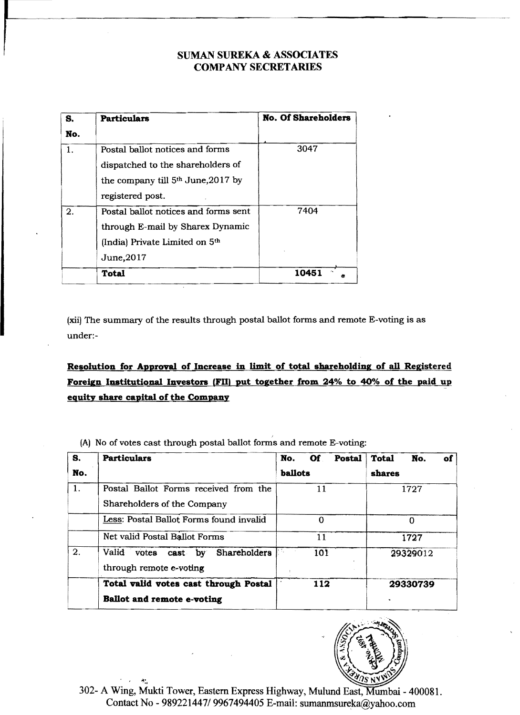| S.  | <b>Particulars</b>                                                                                                                   | <b>No. Of Shareholders</b> |
|-----|--------------------------------------------------------------------------------------------------------------------------------------|----------------------------|
| No. |                                                                                                                                      |                            |
| 1.  | Postal ballot notices and forms<br>dispatched to the shareholders of<br>the company till $5th$ June, 2017 by<br>registered post.     | 3047                       |
| 2.  | Postal ballot notices and forms sent<br>through E-mail by Sharex Dynamic<br>(India) Private Limited on 5 <sup>th</sup><br>June, 2017 | 7404                       |
|     | Total                                                                                                                                | 10451                      |

(xii) The summary of the results through postal ballot forms and remote E-voting is as under:

# Resolution for Approval of Increase in limit of total shareholding of all Registered Foreign Institutional Investors (FII) put together from 24% to 40% of the paid up equity share capital of the Company

(A) No of votes cast through postal ballot forms and remote E-voting:

| S.  | <b>Particulars</b>                                                   | No.<br><b>Of</b><br>Postal | <b>Total</b><br>No.<br>of |  |
|-----|----------------------------------------------------------------------|----------------------------|---------------------------|--|
| No. |                                                                      | ballots                    | shares                    |  |
| 1.  | Postal Ballot Forms received from the<br>Shareholders of the Company | 11                         | 1727                      |  |
|     | Less: Postal Ballot Forms found invalid                              | $\Omega$                   | $\Omega$                  |  |
|     | Net valid Postal Ballot Forms                                        | 11                         | 1727                      |  |
| 2.  | Valid<br>Shareholders<br>votes cast by<br>through remote e-voting    | 101                        | 29329012                  |  |
|     | Total valid votes cast through Postal                                | 112                        | 29330739                  |  |
|     | <b>Ballot and remote e-voting</b>                                    |                            |                           |  |



302- A Wing, Mukti Tower, Eastern Express Highway, Mulund East, Mumbai - 400081. Contact No - 989221447/ 9967494405 E-mail: sumanmsureka@yahoo.com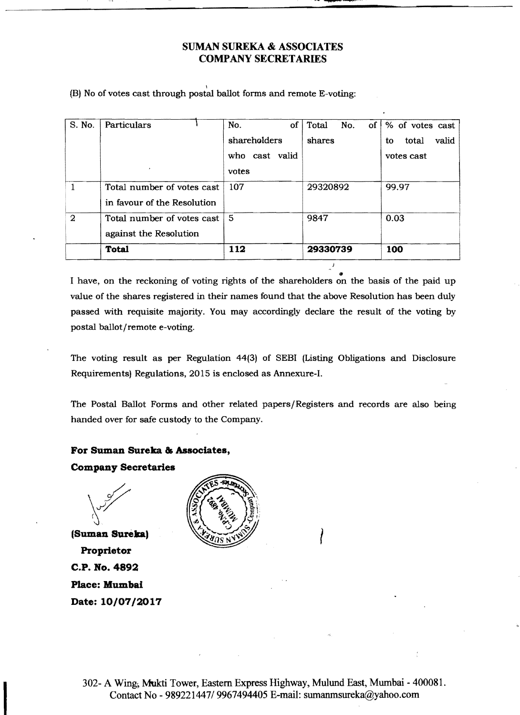**fUI?** 

(B) No of votes cast through postal ballot forms and remote E-voting:

| S. No.         | Particulars                 | No.<br>οf      | No.<br>Total<br>$of \,  $ | % of votes cast      |
|----------------|-----------------------------|----------------|---------------------------|----------------------|
|                |                             | shareholders   | shares                    | valid<br>total<br>to |
|                |                             | who cast valid |                           | votes cast           |
|                |                             | votes          |                           |                      |
|                | Total number of votes cast  | 107            | 29320892                  | 99.97                |
|                | in favour of the Resolution |                |                           |                      |
| $\overline{2}$ | Total number of votes cast  | 5              | 9847                      | 0.03                 |
|                | against the Resolution      |                |                           |                      |
|                | <b>Total</b>                | 112            | 29330739                  | 100                  |

I have, on the reckoning of voting rights of the shareholders on the basis of the paid up value of the shares registered in their names found that the above Resolution has been duly passed with requisite majority. You may accordingly declare the result of the voting by postal ballot/remote e-voting.

The voting result as per Regulation 44(3) of SEBI (Listing Obligations and Disclosure Requirements) Regulations, 2015 is enclosed as Annexure-I.

The Postal Ballot Forms and other related papers/Registers and records are also being handed over for safe custody to the Company.

#### **For Suman Sureka 8& Associates,**

**(Suman Sureka)** I **Proprietor C.P. No. 4892 Place: Mumbai Date: 10/07/2017**